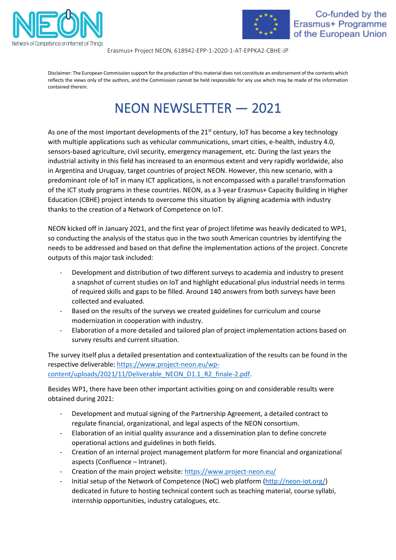



Erasmus+ Project NEON, 618942-EPP-1-2020-1-AT-EPPKA2-CBHE-JP

Disclaimer: The European Commission support for the production of this material does not constitute an endorsement of the contents which reflects the views only of the authors, and the Commission cannot be held responsible for any use which may be made of the information contained therein.

## NEON NEWSLETTER — 2021

As one of the most important developments of the 21<sup>st</sup> century, IoT has become a key technology with multiple applications such as vehicular communications, smart cities, e-health, industry 4.0, sensors-based agriculture, civil security, emergency management, etc. During the last years the industrial activity in this field has increased to an enormous extent and very rapidly worldwide, also in Argentina and Uruguay, target countries of project NEON. However, this new scenario, with a predominant role of IoT in many ICT applications, is not encompassed with a parallel transformation of the ICT study programs in these countries. NEON, as a 3-year Erasmus+ Capacity Building in Higher Education (CBHE) project intends to overcome this situation by aligning academia with industry thanks to the creation of a Network of Competence on IoT.

NEON kicked off in January 2021, and the first year of project lifetime was heavily dedicated to WP1, so conducting the analysis of the status quo in the two south American countries by identifying the needs to be addressed and based on that define the implementation actions of the project. Concrete outputs of this major task included:

- Development and distribution of two different surveys to academia and industry to present a snapshot of current studies on IoT and highlight educational plus industrial needs in terms of required skills and gaps to be filled. Around 140 answers from both surveys have been collected and evaluated.
- Based on the results of the surveys we created guidelines for curriculum and course modernization in cooperation with industry.
- Elaboration of a more detailed and tailored plan of project implementation actions based on survey results and current situation.

The survey itself plus a detailed presentation and contextualization of the results can be found in the respective deliverable[: https://www.project-neon.eu/wp](https://www.project-neon.eu/wp-content/uploads/2021/11/Deliverable_NEON_D1.1_R2_finale-2.pdf)[content/uploads/2021/11/Deliverable\\_NEON\\_D1.1\\_R2\\_finale-2.pdf.](https://www.project-neon.eu/wp-content/uploads/2021/11/Deliverable_NEON_D1.1_R2_finale-2.pdf)

Besides WP1, there have been other important activities going on and considerable results were obtained during 2021:

- Development and mutual signing of the Partnership Agreement, a detailed contract to regulate financial, organizational, and legal aspects of the NEON consortium.
- Elaboration of an initial quality assurance and a dissemination plan to define concrete operational actions and guidelines in both fields.
- Creation of an internal project management platform for more financial and organizational aspects (Confluence – Intranet).
- Creation of the main project website[: https://www.project-neon.eu/](https://www.project-neon.eu/)
- Initial setup of the Network of Competence (NoC) web platform [\(http://neon-iot.org/\)](http://neon-iot.org/) dedicated in future to hosting technical content such as teaching material, course syllabi, internship opportunities, industry catalogues, etc.